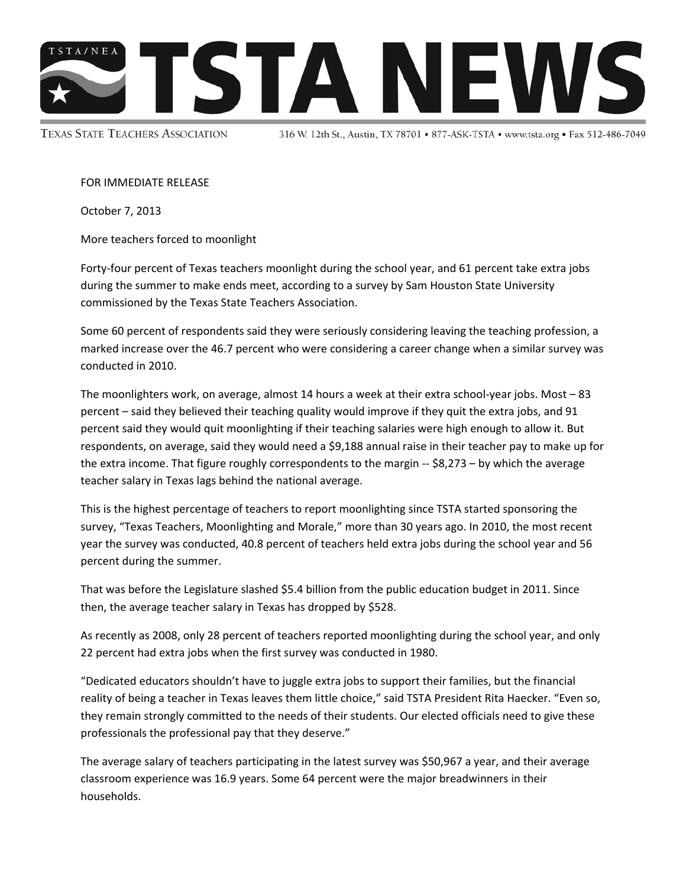

**TEXAS STATE TEACHERS ASSOCIATION** 

316 W. 12th St., Austin, TX 78701 • 877-ASK-TSTA • www.tsta.org • Fax 512-486-7049

FOR IMMEDIATE RELEASE

October 7, 2013

More teachers forced to moonlight

Forty‐four percent of Texas teachers moonlight during the school year, and 61 percent take extra jobs during the summer to make ends meet, according to a survey by Sam Houston State University commissioned by the Texas State Teachers Association.

Some 60 percent of respondents said they were seriously considering leaving the teaching profession, a marked increase over the 46.7 percent who were considering a career change when a similar survey was conducted in 2010.

The moonlighters work, on average, almost 14 hours a week at their extra school‐year jobs. Most – 83 percent – said they believed their teaching quality would improve if they quit the extra jobs, and 91 percent said they would quit moonlighting if their teaching salaries were high enough to allow it. But respondents, on average, said they would need a \$9,188 annual raise in their teacher pay to make up for the extra income. That figure roughly correspondents to the margin -- \$8,273 – by which the average teacher salary in Texas lags behind the national average.

This is the highest percentage of teachers to report moonlighting since TSTA started sponsoring the survey, "Texas Teachers, Moonlighting and Morale," more than 30 years ago. In 2010, the most recent year the survey was conducted, 40.8 percent of teachers held extra jobs during the school year and 56 percent during the summer.

That was before the Legislature slashed \$5.4 billion from the public education budget in 2011. Since then, the average teacher salary in Texas has dropped by \$528.

As recently as 2008, only 28 percent of teachers reported moonlighting during the school year, and only 22 percent had extra jobs when the first survey was conducted in 1980.

"Dedicated educators shouldn't have to juggle extra jobs to support their families, but the financial reality of being a teacher in Texas leaves them little choice," said TSTA President Rita Haecker. "Even so, they remain strongly committed to the needs of their students. Our elected officials need to give these professionals the professional pay that they deserve."

The average salary of teachers participating in the latest survey was \$50,967 a year, and their average classroom experience was 16.9 years. Some 64 percent were the major breadwinners in their households.